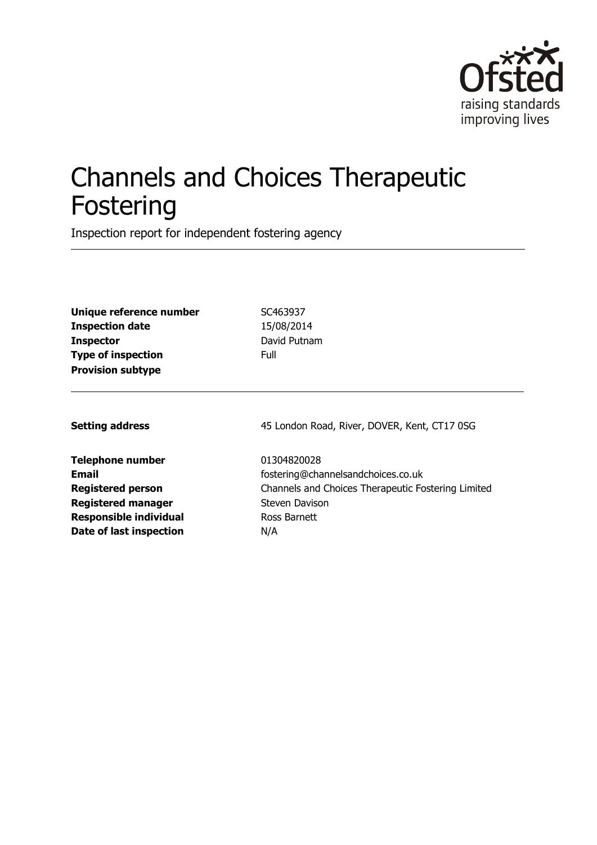

# Channels and Choices Therapeutic Fostering

Inspection report for independent fostering agency

**Unique reference number** SC463937 **Inspection date** 15/08/2014 **Inspector** David Putnam **Type of inspection** Full **Provision subtype**

**Telephone number** 01304820028 **Registered manager Steven Davison Responsible individual** Ross Barnett **Date of last inspection** N/A

**Setting address** 45 London Road, River, DOVER, Kent, CT17 0SG

**Email** fostering@channelsandchoices.co.uk **Registered person** Channels and Choices Therapeutic Fostering Limited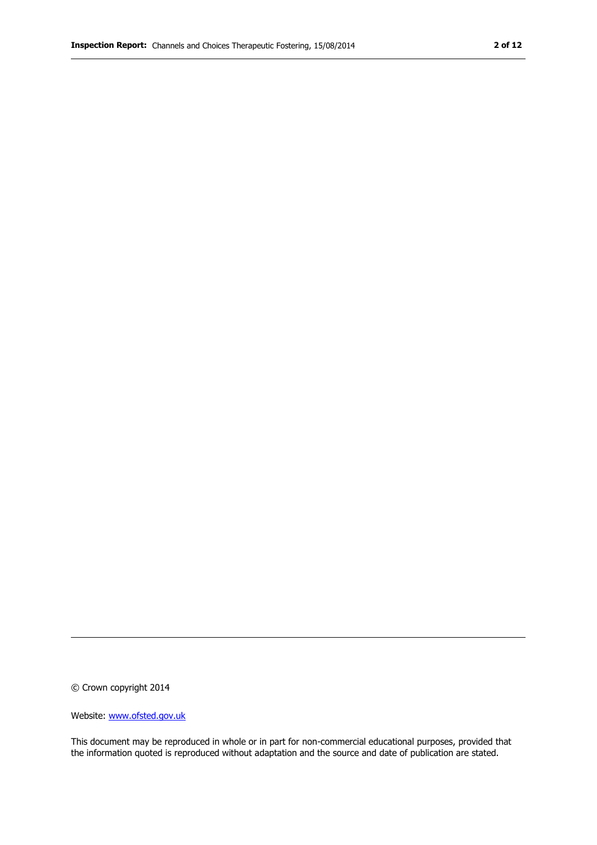© Crown copyright 2014

Website: www.ofsted.gov.uk

This document may be reproduced in whole or in part for non-commercial educational purposes, provided that the information quoted is reproduced without adaptation and the source and date of publication are stated.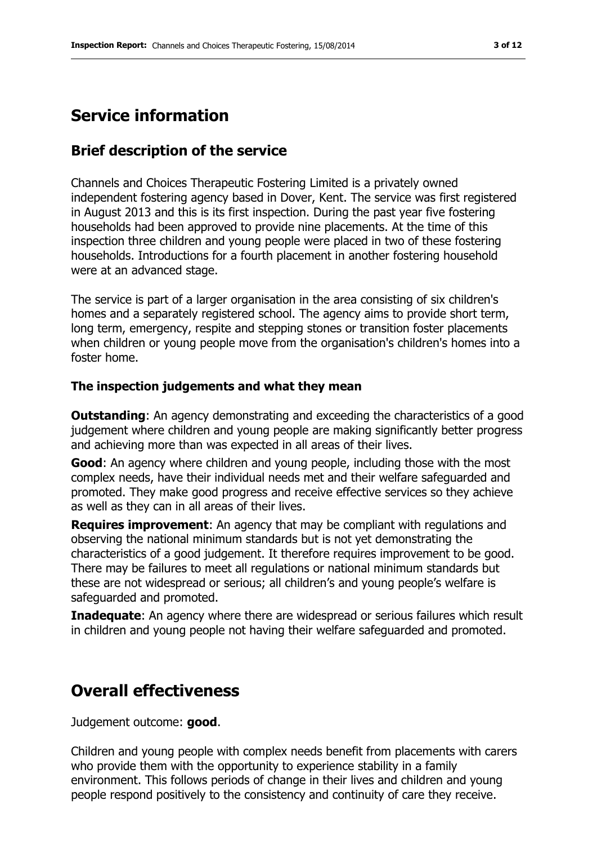# **Service information**

#### **Brief description of the service**

Channels and Choices Therapeutic Fostering Limited is a privately owned independent fostering agency based in Dover, Kent. The service was first registered in August 2013 and this is its first inspection. During the past year five fostering households had been approved to provide nine placements. At the time of this inspection three children and young people were placed in two of these fostering households. Introductions for a fourth placement in another fostering household were at an advanced stage.

The service is part of a larger organisation in the area consisting of six children's homes and a separately registered school. The agency aims to provide short term, long term, emergency, respite and stepping stones or transition foster placements when children or young people move from the organisation's children's homes into a foster home.

#### **The inspection judgements and what they mean**

**Outstanding:** An agency demonstrating and exceeding the characteristics of a good judgement where children and young people are making significantly better progress and achieving more than was expected in all areas of their lives.

**Good**: An agency where children and young people, including those with the most complex needs, have their individual needs met and their welfare safeguarded and promoted. They make good progress and receive effective services so they achieve as well as they can in all areas of their lives.

**Requires improvement**: An agency that may be compliant with regulations and observing the national minimum standards but is not yet demonstrating the characteristics of a good judgement. It therefore requires improvement to be good. There may be failures to meet all regulations or national minimum standards but these are not widespread or serious; all children's and young people's welfare is safeguarded and promoted.

**Inadequate**: An agency where there are widespread or serious failures which result in children and young people not having their welfare safeguarded and promoted.

### **Overall effectiveness**

Judgement outcome: **good**.

Children and young people with complex needs benefit from placements with carers who provide them with the opportunity to experience stability in a family environment. This follows periods of change in their lives and children and young people respond positively to the consistency and continuity of care they receive.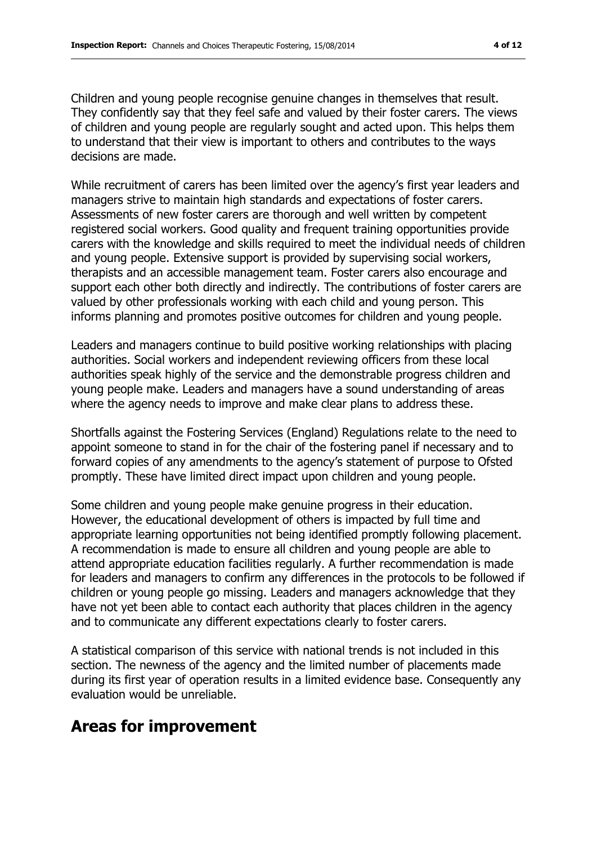Children and young people recognise genuine changes in themselves that result. They confidently say that they feel safe and valued by their foster carers. The views of children and young people are regularly sought and acted upon. This helps them to understand that their view is important to others and contributes to the ways decisions are made.

While recruitment of carers has been limited over the agency's first year leaders and managers strive to maintain high standards and expectations of foster carers. Assessments of new foster carers are thorough and well written by competent registered social workers. Good quality and frequent training opportunities provide carers with the knowledge and skills required to meet the individual needs of children and young people. Extensive support is provided by supervising social workers, therapists and an accessible management team. Foster carers also encourage and support each other both directly and indirectly. The contributions of foster carers are valued by other professionals working with each child and young person. This informs planning and promotes positive outcomes for children and young people.

Leaders and managers continue to build positive working relationships with placing authorities. Social workers and independent reviewing officers from these local authorities speak highly of the service and the demonstrable progress children and young people make. Leaders and managers have a sound understanding of areas where the agency needs to improve and make clear plans to address these.

Shortfalls against the Fostering Services (England) Regulations relate to the need to appoint someone to stand in for the chair of the fostering panel if necessary and to forward copies of any amendments to the agency's statement of purpose to Ofsted promptly. These have limited direct impact upon children and young people.

Some children and young people make genuine progress in their education. However, the educational development of others is impacted by full time and appropriate learning opportunities not being identified promptly following placement. A recommendation is made to ensure all children and young people are able to attend appropriate education facilities regularly. A further recommendation is made for leaders and managers to confirm any differences in the protocols to be followed if children or young people go missing. Leaders and managers acknowledge that they have not yet been able to contact each authority that places children in the agency and to communicate any different expectations clearly to foster carers.

A statistical comparison of this service with national trends is not included in this section. The newness of the agency and the limited number of placements made during its first year of operation results in a limited evidence base. Consequently any evaluation would be unreliable.

## **Areas for improvement**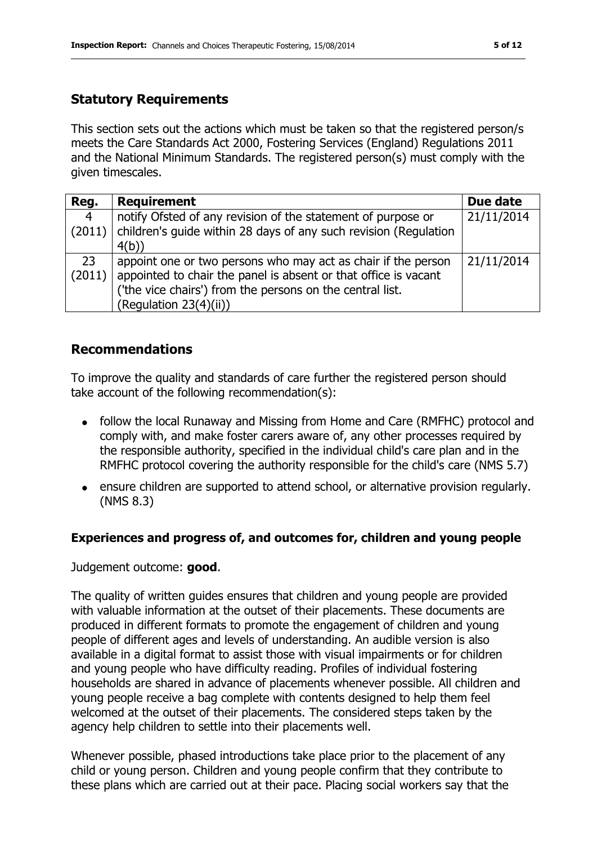#### **Statutory Requirements**

This section sets out the actions which must be taken so that the registered person/s meets the Care Standards Act 2000, Fostering Services (England) Regulations 2011 and the National Minimum Standards. The registered person(s) must comply with the given timescales.

| Reg.           | <b>Requirement</b>                                               | Due date   |
|----------------|------------------------------------------------------------------|------------|
| $\overline{4}$ | notify Ofsted of any revision of the statement of purpose or     | 21/11/2014 |
| (2011)         | children's guide within 28 days of any such revision (Regulation |            |
|                | 4(b)                                                             |            |
| 23             | appoint one or two persons who may act as chair if the person    | 21/11/2014 |
| (2011)         | appointed to chair the panel is absent or that office is vacant  |            |
|                | ('the vice chairs') from the persons on the central list.        |            |
|                | (Regulation 23(4)(ii))                                           |            |

#### **Recommendations**

To improve the quality and standards of care further the registered person should take account of the following recommendation(s):

- follow the local Runaway and Missing from Home and Care (RMFHC) protocol and comply with, and make foster carers aware of, any other processes required by the responsible authority, specified in the individual child's care plan and in the RMFHC protocol covering the authority responsible for the child's care (NMS 5.7)
- ensure children are supported to attend school, or alternative provision regularly. (NMS 8.3)

#### **Experiences and progress of, and outcomes for, children and young people**

Judgement outcome: **good**.

The quality of written guides ensures that children and young people are provided with valuable information at the outset of their placements. These documents are produced in different formats to promote the engagement of children and young people of different ages and levels of understanding. An audible version is also available in a digital format to assist those with visual impairments or for children and young people who have difficulty reading. Profiles of individual fostering households are shared in advance of placements whenever possible. All children and young people receive a bag complete with contents designed to help them feel welcomed at the outset of their placements. The considered steps taken by the agency help children to settle into their placements well.

Whenever possible, phased introductions take place prior to the placement of any child or young person. Children and young people confirm that they contribute to these plans which are carried out at their pace. Placing social workers say that the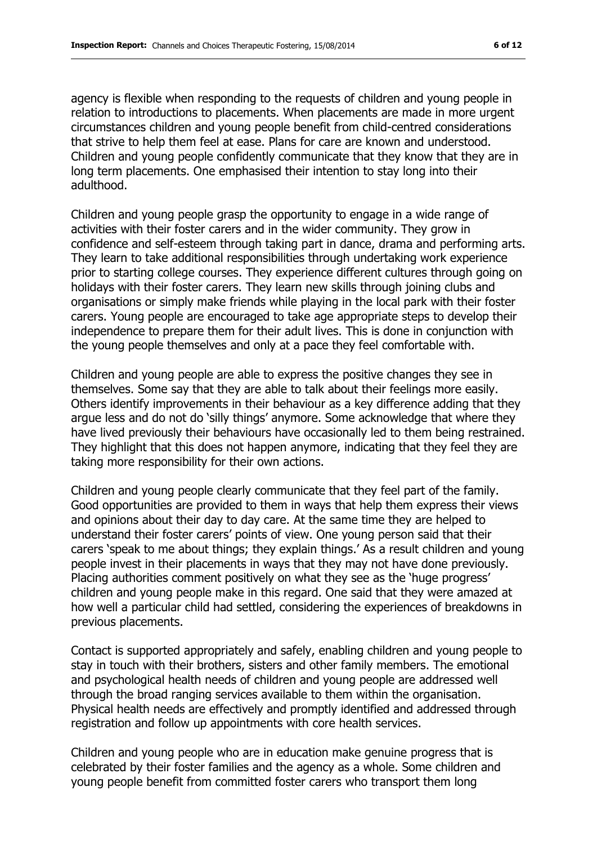agency is flexible when responding to the requests of children and young people in relation to introductions to placements. When placements are made in more urgent circumstances children and young people benefit from child-centred considerations

that strive to help them feel at ease. Plans for care are known and understood. Children and young people confidently communicate that they know that they are in long term placements. One emphasised their intention to stay long into their adulthood.

Children and young people grasp the opportunity to engage in a wide range of activities with their foster carers and in the wider community. They grow in confidence and self-esteem through taking part in dance, drama and performing arts. They learn to take additional responsibilities through undertaking work experience prior to starting college courses. They experience different cultures through going on holidays with their foster carers. They learn new skills through joining clubs and organisations or simply make friends while playing in the local park with their foster carers. Young people are encouraged to take age appropriate steps to develop their independence to prepare them for their adult lives. This is done in conjunction with the young people themselves and only at a pace they feel comfortable with.

Children and young people are able to express the positive changes they see in themselves. Some say that they are able to talk about their feelings more easily. Others identify improvements in their behaviour as a key difference adding that they argue less and do not do 'silly things' anymore. Some acknowledge that where they have lived previously their behaviours have occasionally led to them being restrained. They highlight that this does not happen anymore, indicating that they feel they are taking more responsibility for their own actions.

Children and young people clearly communicate that they feel part of the family. Good opportunities are provided to them in ways that help them express their views and opinions about their day to day care. At the same time they are helped to understand their foster carers' points of view. One young person said that their carers 'speak to me about things; they explain things.' As a result children and young people invest in their placements in ways that they may not have done previously. Placing authorities comment positively on what they see as the 'huge progress' children and young people make in this regard. One said that they were amazed at how well a particular child had settled, considering the experiences of breakdowns in previous placements.

Contact is supported appropriately and safely, enabling children and young people to stay in touch with their brothers, sisters and other family members. The emotional and psychological health needs of children and young people are addressed well through the broad ranging services available to them within the organisation. Physical health needs are effectively and promptly identified and addressed through registration and follow up appointments with core health services.

Children and young people who are in education make genuine progress that is celebrated by their foster families and the agency as a whole. Some children and young people benefit from committed foster carers who transport them long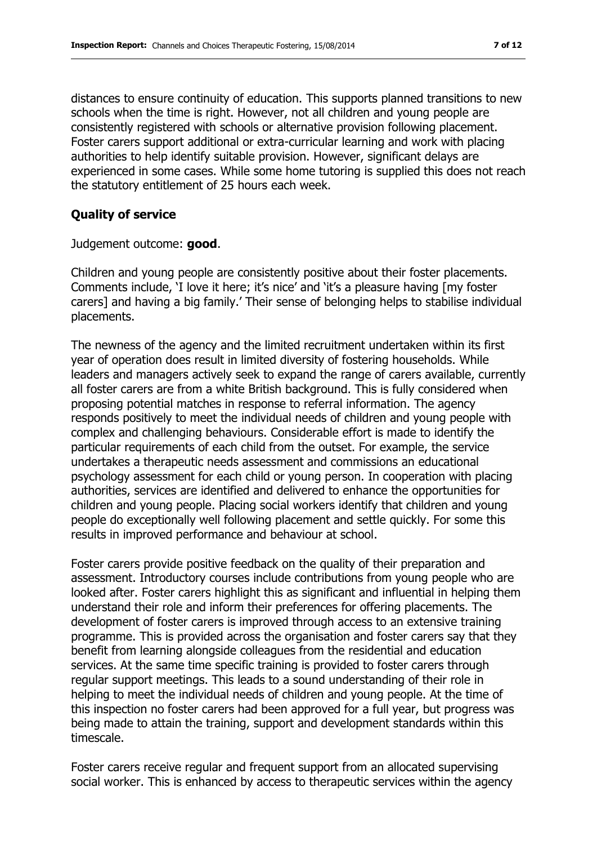distances to ensure continuity of education. This supports planned transitions to new schools when the time is right. However, not all children and young people are consistently registered with schools or alternative provision following placement. Foster carers support additional or extra-curricular learning and work with placing authorities to help identify suitable provision. However, significant delays are experienced in some cases. While some home tutoring is supplied this does not reach the statutory entitlement of 25 hours each week.

#### **Quality of service**

Judgement outcome: **good**.

Children and young people are consistently positive about their foster placements. Comments include, 'I love it here; it's nice' and 'it's a pleasure having [my foster carers] and having a big family.' Their sense of belonging helps to stabilise individual placements.

The newness of the agency and the limited recruitment undertaken within its first year of operation does result in limited diversity of fostering households. While leaders and managers actively seek to expand the range of carers available, currently all foster carers are from a white British background. This is fully considered when proposing potential matches in response to referral information. The agency responds positively to meet the individual needs of children and young people with complex and challenging behaviours. Considerable effort is made to identify the particular requirements of each child from the outset. For example, the service undertakes a therapeutic needs assessment and commissions an educational psychology assessment for each child or young person. In cooperation with placing authorities, services are identified and delivered to enhance the opportunities for children and young people. Placing social workers identify that children and young people do exceptionally well following placement and settle quickly. For some this results in improved performance and behaviour at school.

Foster carers provide positive feedback on the quality of their preparation and assessment. Introductory courses include contributions from young people who are looked after. Foster carers highlight this as significant and influential in helping them understand their role and inform their preferences for offering placements. The development of foster carers is improved through access to an extensive training programme. This is provided across the organisation and foster carers say that they benefit from learning alongside colleagues from the residential and education services. At the same time specific training is provided to foster carers through regular support meetings. This leads to a sound understanding of their role in helping to meet the individual needs of children and young people. At the time of this inspection no foster carers had been approved for a full year, but progress was being made to attain the training, support and development standards within this timescale.

Foster carers receive regular and frequent support from an allocated supervising social worker. This is enhanced by access to therapeutic services within the agency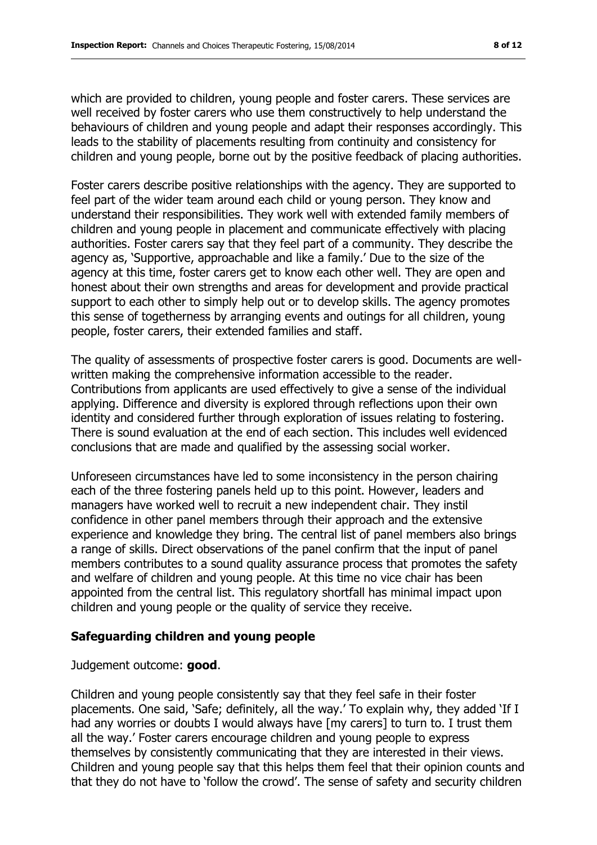which are provided to children, young people and foster carers. These services are well received by foster carers who use them constructively to help understand the behaviours of children and young people and adapt their responses accordingly. This leads to the stability of placements resulting from continuity and consistency for children and young people, borne out by the positive feedback of placing authorities.

Foster carers describe positive relationships with the agency. They are supported to feel part of the wider team around each child or young person. They know and understand their responsibilities. They work well with extended family members of children and young people in placement and communicate effectively with placing authorities. Foster carers say that they feel part of a community. They describe the agency as, 'Supportive, approachable and like a family.' Due to the size of the agency at this time, foster carers get to know each other well. They are open and honest about their own strengths and areas for development and provide practical support to each other to simply help out or to develop skills. The agency promotes this sense of togetherness by arranging events and outings for all children, young people, foster carers, their extended families and staff.

The quality of assessments of prospective foster carers is good. Documents are wellwritten making the comprehensive information accessible to the reader. Contributions from applicants are used effectively to give a sense of the individual applying. Difference and diversity is explored through reflections upon their own identity and considered further through exploration of issues relating to fostering. There is sound evaluation at the end of each section. This includes well evidenced conclusions that are made and qualified by the assessing social worker.

Unforeseen circumstances have led to some inconsistency in the person chairing each of the three fostering panels held up to this point. However, leaders and managers have worked well to recruit a new independent chair. They instil confidence in other panel members through their approach and the extensive experience and knowledge they bring. The central list of panel members also brings a range of skills. Direct observations of the panel confirm that the input of panel members contributes to a sound quality assurance process that promotes the safety and welfare of children and young people. At this time no vice chair has been appointed from the central list. This regulatory shortfall has minimal impact upon children and young people or the quality of service they receive.

#### **Safeguarding children and young people**

Judgement outcome: **good**.

Children and young people consistently say that they feel safe in their foster placements. One said, 'Safe; definitely, all the way.' To explain why, they added 'If I had any worries or doubts I would always have [my carers] to turn to. I trust them all the way.' Foster carers encourage children and young people to express themselves by consistently communicating that they are interested in their views. Children and young people say that this helps them feel that their opinion counts and that they do not have to 'follow the crowd'. The sense of safety and security children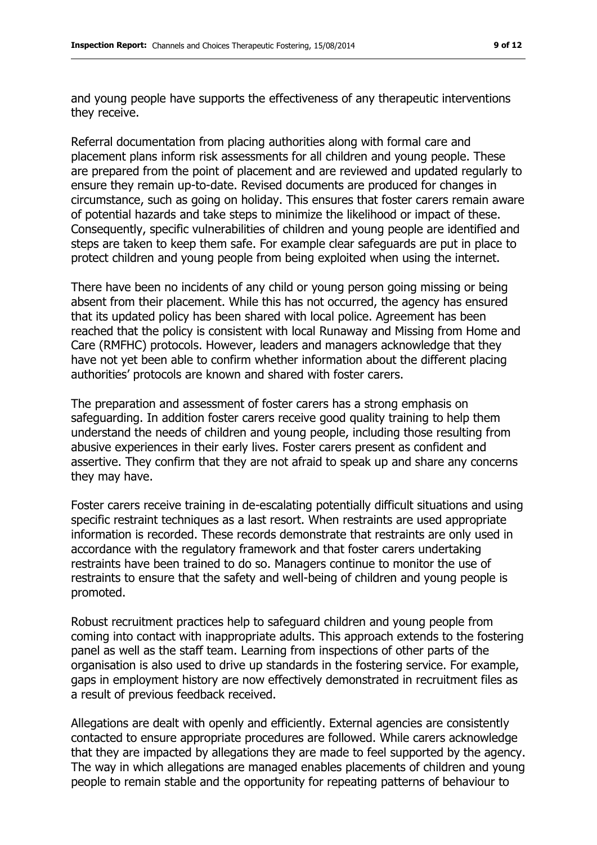and young people have supports the effectiveness of any therapeutic interventions they receive.

Referral documentation from placing authorities along with formal care and placement plans inform risk assessments for all children and young people. These are prepared from the point of placement and are reviewed and updated regularly to ensure they remain up-to-date. Revised documents are produced for changes in circumstance, such as going on holiday. This ensures that foster carers remain aware of potential hazards and take steps to minimize the likelihood or impact of these. Consequently, specific vulnerabilities of children and young people are identified and steps are taken to keep them safe. For example clear safeguards are put in place to protect children and young people from being exploited when using the internet.

There have been no incidents of any child or young person going missing or being absent from their placement. While this has not occurred, the agency has ensured that its updated policy has been shared with local police. Agreement has been reached that the policy is consistent with local Runaway and Missing from Home and Care (RMFHC) protocols. However, leaders and managers acknowledge that they have not yet been able to confirm whether information about the different placing authorities' protocols are known and shared with foster carers.

The preparation and assessment of foster carers has a strong emphasis on safeguarding. In addition foster carers receive good quality training to help them understand the needs of children and young people, including those resulting from abusive experiences in their early lives. Foster carers present as confident and assertive. They confirm that they are not afraid to speak up and share any concerns they may have.

Foster carers receive training in de-escalating potentially difficult situations and using specific restraint techniques as a last resort. When restraints are used appropriate information is recorded. These records demonstrate that restraints are only used in accordance with the regulatory framework and that foster carers undertaking restraints have been trained to do so. Managers continue to monitor the use of restraints to ensure that the safety and well-being of children and young people is promoted.

Robust recruitment practices help to safeguard children and young people from coming into contact with inappropriate adults. This approach extends to the fostering panel as well as the staff team. Learning from inspections of other parts of the organisation is also used to drive up standards in the fostering service. For example, gaps in employment history are now effectively demonstrated in recruitment files as a result of previous feedback received.

Allegations are dealt with openly and efficiently. External agencies are consistently contacted to ensure appropriate procedures are followed. While carers acknowledge that they are impacted by allegations they are made to feel supported by the agency. The way in which allegations are managed enables placements of children and young people to remain stable and the opportunity for repeating patterns of behaviour to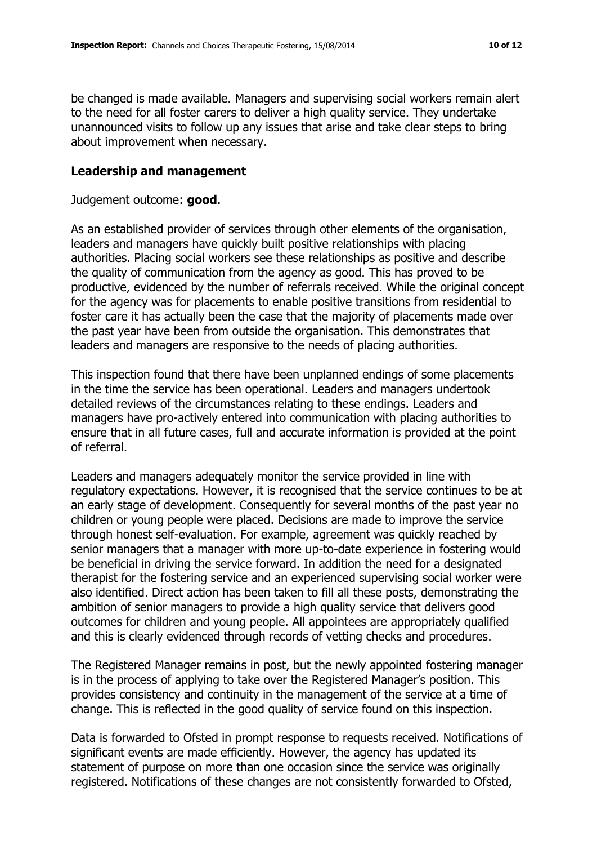be changed is made available. Managers and supervising social workers remain alert to the need for all foster carers to deliver a high quality service. They undertake unannounced visits to follow up any issues that arise and take clear steps to bring about improvement when necessary.

#### **Leadership and management**

Judgement outcome: **good**.

As an established provider of services through other elements of the organisation, leaders and managers have quickly built positive relationships with placing authorities. Placing social workers see these relationships as positive and describe the quality of communication from the agency as good. This has proved to be productive, evidenced by the number of referrals received. While the original concept for the agency was for placements to enable positive transitions from residential to foster care it has actually been the case that the majority of placements made over the past year have been from outside the organisation. This demonstrates that leaders and managers are responsive to the needs of placing authorities.

This inspection found that there have been unplanned endings of some placements in the time the service has been operational. Leaders and managers undertook detailed reviews of the circumstances relating to these endings. Leaders and managers have pro-actively entered into communication with placing authorities to ensure that in all future cases, full and accurate information is provided at the point of referral.

Leaders and managers adequately monitor the service provided in line with regulatory expectations. However, it is recognised that the service continues to be at an early stage of development. Consequently for several months of the past year no children or young people were placed. Decisions are made to improve the service through honest self-evaluation. For example, agreement was quickly reached by senior managers that a manager with more up-to-date experience in fostering would be beneficial in driving the service forward. In addition the need for a designated therapist for the fostering service and an experienced supervising social worker were also identified. Direct action has been taken to fill all these posts, demonstrating the ambition of senior managers to provide a high quality service that delivers good outcomes for children and young people. All appointees are appropriately qualified and this is clearly evidenced through records of vetting checks and procedures.

The Registered Manager remains in post, but the newly appointed fostering manager is in the process of applying to take over the Registered Manager's position. This provides consistency and continuity in the management of the service at a time of change. This is reflected in the good quality of service found on this inspection.

Data is forwarded to Ofsted in prompt response to requests received. Notifications of significant events are made efficiently. However, the agency has updated its statement of purpose on more than one occasion since the service was originally registered. Notifications of these changes are not consistently forwarded to Ofsted,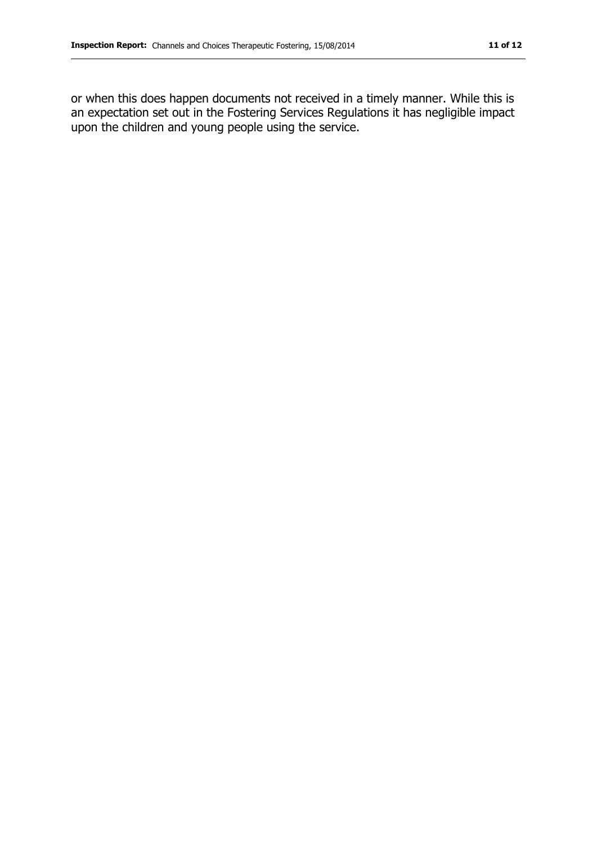or when this does happen documents not received in a timely manner. While this is an expectation set out in the Fostering Services Regulations it has negligible impact upon the children and young people using the service.